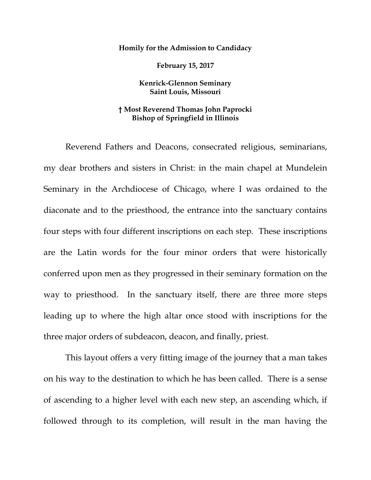## **Homily for the Admission to Candidacy**

**February 15, 2017**

## **Kenrick-Glennon Seminary Saint Louis, Missouri**

## **† Most Reverend Thomas John Paprocki Bishop of Springfield in Illinois**

Reverend Fathers and Deacons, consecrated religious, seminarians, my dear brothers and sisters in Christ: in the main chapel at Mundelein Seminary in the Archdiocese of Chicago, where I was ordained to the diaconate and to the priesthood, the entrance into the sanctuary contains four steps with four different inscriptions on each step. These inscriptions are the Latin words for the four minor orders that were historically conferred upon men as they progressed in their seminary formation on the way to priesthood. In the sanctuary itself, there are three more steps leading up to where the high altar once stood with inscriptions for the three major orders of subdeacon, deacon, and finally, priest.

This layout offers a very fitting image of the journey that a man takes on his way to the destination to which he has been called. There is a sense of ascending to a higher level with each new step, an ascending which, if followed through to its completion, will result in the man having the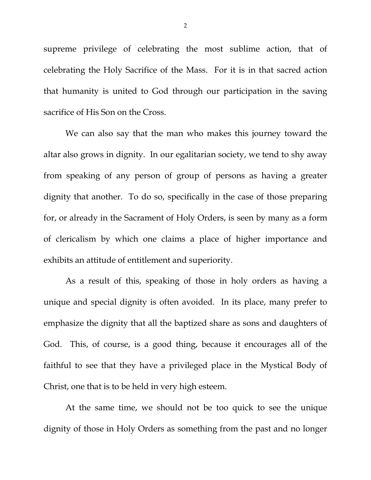supreme privilege of celebrating the most sublime action, that of celebrating the Holy Sacrifice of the Mass. For it is in that sacred action that humanity is united to God through our participation in the saving sacrifice of His Son on the Cross.

We can also say that the man who makes this journey toward the altar also grows in dignity. In our egalitarian society, we tend to shy away from speaking of any person of group of persons as having a greater dignity that another. To do so, specifically in the case of those preparing for, or already in the Sacrament of Holy Orders, is seen by many as a form of clericalism by which one claims a place of higher importance and exhibits an attitude of entitlement and superiority.

As a result of this, speaking of those in holy orders as having a unique and special dignity is often avoided. In its place, many prefer to emphasize the dignity that all the baptized share as sons and daughters of God. This, of course, is a good thing, because it encourages all of the faithful to see that they have a privileged place in the Mystical Body of Christ, one that is to be held in very high esteem.

At the same time, we should not be too quick to see the unique dignity of those in Holy Orders as something from the past and no longer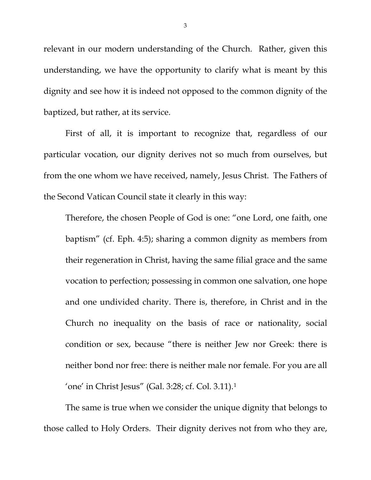relevant in our modern understanding of the Church. Rather, given this understanding, we have the opportunity to clarify what is meant by this dignity and see how it is indeed not opposed to the common dignity of the baptized, but rather, at its service.

First of all, it is important to recognize that, regardless of our particular vocation, our dignity derives not so much from ourselves, but from the one whom we have received, namely, Jesus Christ. The Fathers of the Second Vatican Council state it clearly in this way:

Therefore, the chosen People of God is one: "one Lord, one faith, one baptism" (cf. Eph. 4:5); sharing a common dignity as members from their regeneration in Christ, having the same filial grace and the same vocation to perfection; possessing in common one salvation, one hope and one undivided charity. There is, therefore, in Christ and in the Church no inequality on the basis of race or nationality, social condition or sex, because "there is neither Jew nor Greek: there is neither bond nor free: there is neither male nor female. For you are all 'one' in Christ Jesus" (Gal. 3:28; cf. Col. 3.11).[1](#page-7-0)

The same is true when we consider the unique dignity that belongs to those called to Holy Orders. Their dignity derives not from who they are,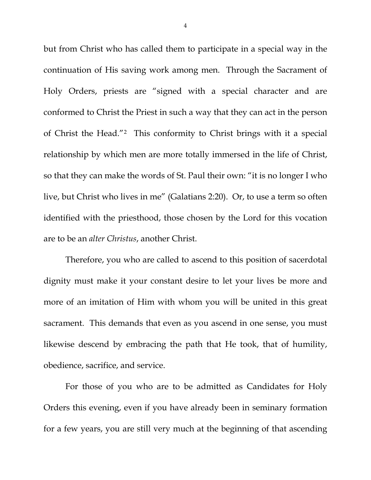but from Christ who has called them to participate in a special way in the continuation of His saving work among men. Through the Sacrament of Holy Orders, priests are "signed with a special character and are conformed to Christ the Priest in such a way that they can act in the person of Christ the Head."[2](#page-7-1) This conformity to Christ brings with it a special relationship by which men are more totally immersed in the life of Christ, so that they can make the words of St. Paul their own: "it is no longer I who live, but Christ who lives in me" (Galatians 2:20). Or, to use a term so often identified with the priesthood, those chosen by the Lord for this vocation are to be an *alter Christus*, another Christ.

Therefore, you who are called to ascend to this position of sacerdotal dignity must make it your constant desire to let your lives be more and more of an imitation of Him with whom you will be united in this great sacrament. This demands that even as you ascend in one sense, you must likewise descend by embracing the path that He took, that of humility, obedience, sacrifice, and service.

For those of you who are to be admitted as Candidates for Holy Orders this evening, even if you have already been in seminary formation for a few years, you are still very much at the beginning of that ascending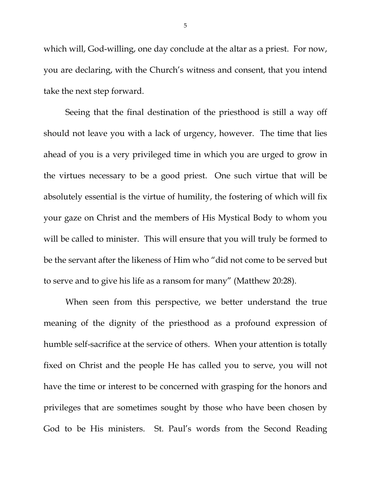which will, God-willing, one day conclude at the altar as a priest. For now, you are declaring, with the Church's witness and consent, that you intend take the next step forward.

Seeing that the final destination of the priesthood is still a way off should not leave you with a lack of urgency, however. The time that lies ahead of you is a very privileged time in which you are urged to grow in the virtues necessary to be a good priest. One such virtue that will be absolutely essential is the virtue of humility, the fostering of which will fix your gaze on Christ and the members of His Mystical Body to whom you will be called to minister. This will ensure that you will truly be formed to be the servant after the likeness of Him who "did not come to be served but to serve and to give his life as a ransom for many" (Matthew 20:28).

When seen from this perspective, we better understand the true meaning of the dignity of the priesthood as a profound expression of humble self-sacrifice at the service of others. When your attention is totally fixed on Christ and the people He has called you to serve, you will not have the time or interest to be concerned with grasping for the honors and privileges that are sometimes sought by those who have been chosen by God to be His ministers. St. Paul's words from the Second Reading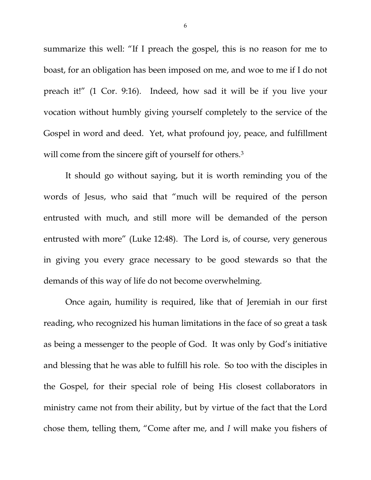summarize this well: "If I preach the gospel, this is no reason for me to boast, for an obligation has been imposed on me, and woe to me if I do not preach it!" (1 Cor. 9:16). Indeed, how sad it will be if you live your vocation without humbly giving yourself completely to the service of the Gospel in word and deed. Yet, what profound joy, peace, and fulfillment will come from the sincere gift of yourself for others.<sup>[3](#page-7-2)</sup>

It should go without saying, but it is worth reminding you of the words of Jesus, who said that "much will be required of the person entrusted with much, and still more will be demanded of the person entrusted with more" (Luke 12:48). The Lord is, of course, very generous in giving you every grace necessary to be good stewards so that the demands of this way of life do not become overwhelming.

Once again, humility is required, like that of Jeremiah in our first reading, who recognized his human limitations in the face of so great a task as being a messenger to the people of God. It was only by God's initiative and blessing that he was able to fulfill his role. So too with the disciples in the Gospel, for their special role of being His closest collaborators in ministry came not from their ability, but by virtue of the fact that the Lord chose them, telling them, "Come after me, and *I* will make you fishers of

6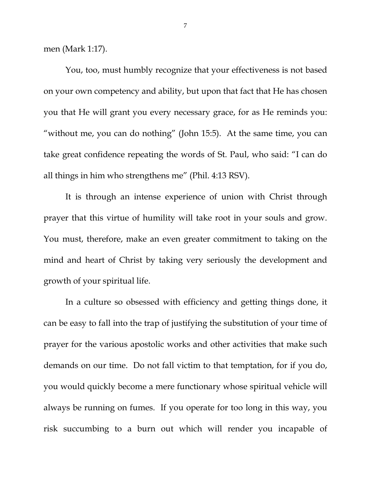men (Mark 1:17).

You, too, must humbly recognize that your effectiveness is not based on your own competency and ability, but upon that fact that He has chosen you that He will grant you every necessary grace, for as He reminds you: "without me, you can do nothing" (John 15:5). At the same time, you can take great confidence repeating the words of St. Paul, who said: "I can do all things in him who strengthens me" (Phil. 4:13 RSV).

It is through an intense experience of union with Christ through prayer that this virtue of humility will take root in your souls and grow. You must, therefore, make an even greater commitment to taking on the mind and heart of Christ by taking very seriously the development and growth of your spiritual life.

In a culture so obsessed with efficiency and getting things done, it can be easy to fall into the trap of justifying the substitution of your time of prayer for the various apostolic works and other activities that make such demands on our time. Do not fall victim to that temptation, for if you do, you would quickly become a mere functionary whose spiritual vehicle will always be running on fumes. If you operate for too long in this way, you risk succumbing to a burn out which will render you incapable of